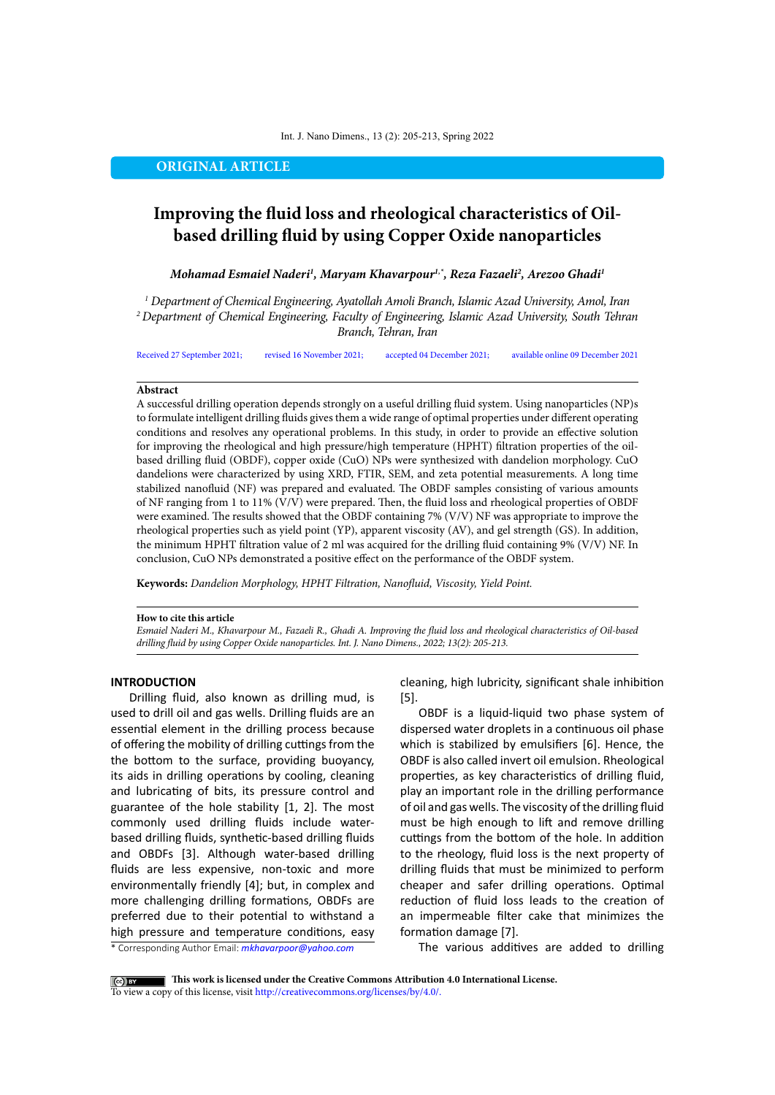# **ORIGINAL ARTICLE**

# **Improving the fluid loss and rheological characteristics of Oilbased drilling fluid by using Copper Oxide nanoparticles**

*Mohamad Esmaiel Naderi1 , Maryam Khavarpour1,\*, Reza Fazaeli2 , Arezoo Ghadi1* 

*1 Department of Chemical Engineering, Ayatollah Amoli Branch, Islamic Azad University, Amol, Iran 2 Department of Chemical Engineering, Faculty of Engineering, Islamic Azad University, South Tehran Branch, Tehran, Iran*

Received 27 September 2021; revised 16 November 2021; accepted 04 December 2021; available online 09 December 2021

## **Abstract**

A successful drilling operation depends strongly on a useful drilling fluid system. Using nanoparticles (NP)s to formulate intelligent drilling fluids gives them a wide range of optimal properties under different operating conditions and resolves any operational problems. In this study, in order to provide an effective solution for improving the rheological and high pressure/high temperature (HPHT) filtration properties of the oilbased drilling fluid (OBDF), copper oxide (CuO) NPs were synthesized with dandelion morphology. CuO dandelions were characterized by using XRD, FTIR, SEM, and zeta potential measurements. A long time stabilized nanofluid (NF) was prepared and evaluated. The OBDF samples consisting of various amounts of NF ranging from 1 to 11% (V/V) were prepared. Then, the fluid loss and rheological properties of OBDF were examined. The results showed that the OBDF containing 7% (V/V) NF was appropriate to improve the rheological properties such as yield point (YP), apparent viscosity (AV), and gel strength (GS). In addition, the minimum HPHT filtration value of 2 ml was acquired for the drilling fluid containing 9% (V/V) NF. In conclusion, CuO NPs demonstrated a positive effect on the performance of the OBDF system.

**Keywords:** *Dandelion Morphology, HPHT Filtration, Nanofluid, Viscosity, Yield Point.*

#### **How to cite this article**

*Esmaiel Naderi M., Khavarpour M., Fazaeli R., Ghadi A. Improving the fluid loss and rheological characteristics of Oil-based drilling fluid by using Copper Oxide nanoparticles. Int. J. Nano Dimens., 2022; 13(2): 205-213.* 

## **INTRODUCTION**

\* Corresponding Author Email: *mkhavarpoor@yahoo.com* Drilling fluid, also known as drilling mud, is used to drill oil and gas wells. Drilling fluids are an essential element in the drilling process because of offering the mobility of drilling cuttings from the the bottom to the surface, providing buoyancy, its aids in drilling operations by cooling, cleaning and lubricating of bits, its pressure control and guarantee of the hole stability [1, 2]. The most commonly used drilling fluids include waterbased drilling fluids, synthetic-based drilling fluids and OBDFs [3]. Although water-based drilling fluids are less expensive, non-toxic and more environmentally friendly [4]; but, in complex and more challenging drilling formations, OBDFs are preferred due to their potential to withstand a high pressure and temperature conditions, easy

cleaning, high lubricity, significant shale inhibition [5].

OBDF is a liquid-liquid two phase system of dispersed water droplets in a continuous oil phase which is stabilized by emulsifiers [6]. Hence, the OBDF is also called invert oil emulsion. Rheological properties, as key characteristics of drilling fluid, play an important role in the drilling performance of oil and gas wells. The viscosity of the drilling fluid must be high enough to lift and remove drilling cuttings from the bottom of the hole. In addition to the rheology, fluid loss is the next property of drilling fluids that must be minimized to perform cheaper and safer drilling operations. Optimal reduction of fluid loss leads to the creation of an impermeable filter cake that minimizes the formation damage [7].

The various additives are added to drilling

 **This work is licensed under the Creative Commons Attribution 4.0 International License.** To view a copy of this license, visit<http://creativecommons.org/licenses/by/4.0/.>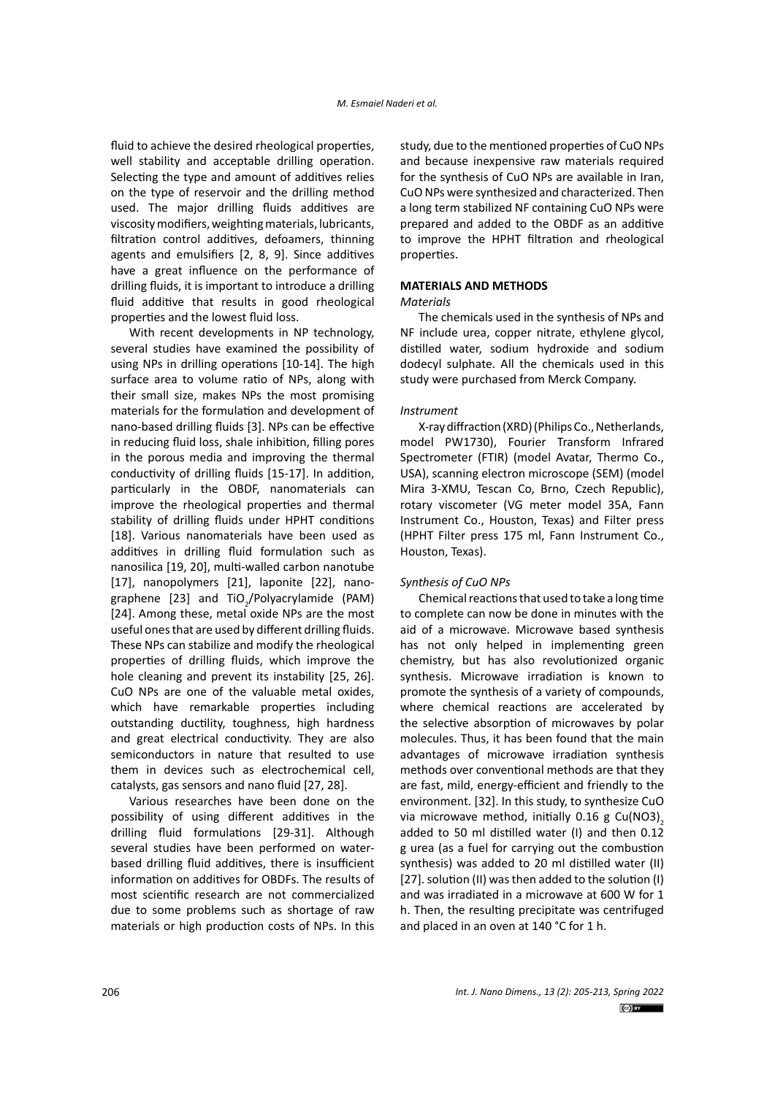fluid to achieve the desired rheological properties, well stability and acceptable drilling operation. Selecting the type and amount of additives relies on the type of reservoir and the drilling method used. The major drilling fluids additives are viscosity modifiers, weighting materials, lubricants, filtration control additives, defoamers, thinning agents and emulsifiers [2, 8, 9]. Since additives have a great influence on the performance of drilling fluids, it is important to introduce a drilling fluid additive that results in good rheological properties and the lowest fluid loss.

With recent developments in NP technology, several studies have examined the possibility of using NPs in drilling operations [10-14]. The high surface area to volume ratio of NPs, along with their small size, makes NPs the most promising materials for the formulation and development of nano-based drilling fluids [3]. NPs can be effective in reducing fluid loss, shale inhibition, filling pores in the porous media and improving the thermal conductivity of drilling fluids [15-17]. In addition, particularly in the OBDF, nanomaterials can improve the rheological properties and thermal stability of drilling fluids under HPHT conditions [18]. Various nanomaterials have been used as additives in drilling fluid formulation such as nanosilica [19, 20], multi-walled carbon nanotube [17], nanopolymers [21], laponite [22], nanographene [23] and TiO<sub>2</sub>/Polyacrylamide (PAM) [24]. Among these, metal oxide NPs are the most useful ones that are used by different drilling fluids. These NPs can stabilize and modify the rheological properties of drilling fluids, which improve the hole cleaning and prevent its instability [25, 26]. CuO NPs are one of the valuable metal oxides, which have remarkable properties including outstanding ductility, toughness, high hardness and great electrical conductivity. They are also semiconductors in nature that resulted to use them in devices such as electrochemical cell, catalysts, gas sensors and nano fluid [27, 28].

Various researches have been done on the possibility of using different additives in the drilling fluid formulations [29-31]. Although several studies have been performed on waterbased drilling fluid additives, there is insufficient information on additives for OBDFs. The results of most scientific research are not commercialized due to some problems such as shortage of raw materials or high production costs of NPs. In this

study, due to the mentioned properties of CuO NPs and because inexpensive raw materials required for the synthesis of CuO NPs are available in Iran, CuO NPs were synthesized and characterized. Then a long term stabilized NF containing CuO NPs were prepared and added to the OBDF as an additive to improve the HPHT filtration and rheological properties.

## **MATERIALS AND METHODS**

#### *Materials*

The chemicals used in the synthesis of NPs and NF include urea, copper nitrate, ethylene glycol, distilled water, sodium hydroxide and sodium dodecyl sulphate. All the chemicals used in this study were purchased from Merck Company.

#### *Instrument*

X-ray diffraction (XRD) (Philips Co., Netherlands, model PW1730), Fourier Transform Infrared Spectrometer (FTIR) (model Avatar, Thermo Co., USA), scanning electron microscope (SEM) (model Mira 3-XMU, Tescan Co, Brno, Czech Republic), rotary viscometer (VG meter model 35A, Fann Instrument Co., Houston, Texas) and Filter press (HPHT Filter press 175 ml, Fann Instrument Co., Houston, Texas).

#### *Synthesis of CuO NPs*

Chemical reactions that used to take a long time to complete can now be done in minutes with the aid of a microwave. Microwave based synthesis has not only helped in implementing green chemistry, but has also revolutionized organic synthesis. Microwave irradiation is known to promote the synthesis of a variety of compounds, where chemical reactions are accelerated by the selective absorption of microwaves by polar molecules. Thus, it has been found that the main advantages of microwave irradiation synthesis methods over conventional methods are that they are fast, mild, energy-efficient and friendly to the environment. [32]. In this study, to synthesize CuO via microwave method, initially  $0.16$  g Cu(NO3)<sub>2</sub> added to 50 ml distilled water (I) and then 0.12 g urea (as a fuel for carrying out the combustion synthesis) was added to 20 ml distilled water (II) [27]. solution (II) was then added to the solution (I) and was irradiated in a microwave at 600 W for 1 h. Then, the resulting precipitate was centrifuged and placed in an oven at 140 °C for 1 h.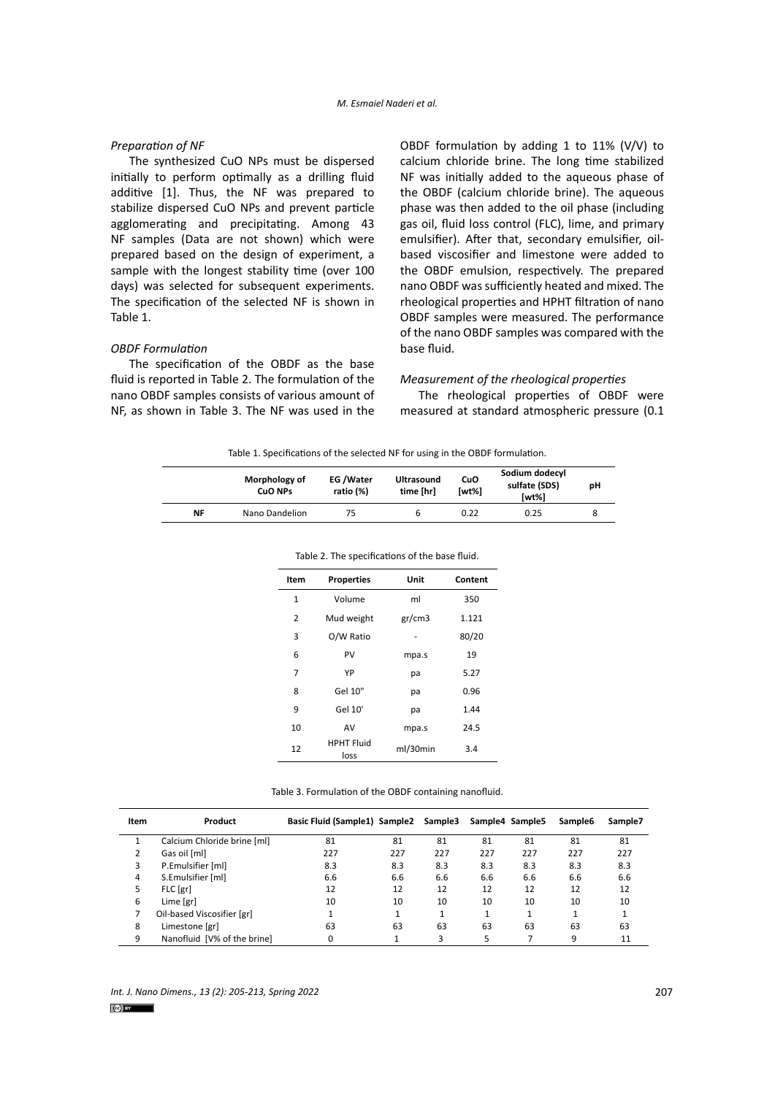#### *Preparation of NF*

The synthesized CuO NPs must be dispersed initially to perform optimally as a drilling fluid additive [1]. Thus, the NF was prepared to stabilize dispersed CuO NPs and prevent particle agglomerating and precipitating. Among 43 NF samples (Data are not shown) which were prepared based on the design of experiment, a sample with the longest stability time (over 100 days) was selected for subsequent experiments. The specification of the selected NF is shown in Table 1.

## *OBDF Formulation*

The specification of the OBDF as the base fluid is reported in Table 2. The formulation of the nano OBDF samples consists of various amount of NF, as shown in Table 3. The NF was used in the

OBDF formulation by adding 1 to 11% (V/V) to calcium chloride brine. The long time stabilized NF was initially added to the aqueous phase of the OBDF (calcium chloride brine). The aqueous phase was then added to the oil phase (including gas oil, fluid loss control (FLC), lime, and primary emulsifier). After that, secondary emulsifier, oilbased viscosifier and limestone were added to the OBDF emulsion, respectively. The prepared nano OBDF was sufficiently heated and mixed. The rheological properties and HPHT filtration of nano OBDF samples were measured. The performance of the nano OBDF samples was compared with the base fluid.

### *Measurement of the rheological properties*

The rheological properties of OBDF were measured at standard atmospheric pressure (0.1

|  |  | Table 1. Specifications of the selected NF for using in the OBDF formulation. |
|--|--|-------------------------------------------------------------------------------|

|    | Morphology of<br>CuO NPs | <b>EG</b> /Water<br>ratio (%) | <b>Ultrasound</b><br>time [hr] | CuO<br>[wt%] | Sodium dodecyl<br>sulfate (SDS)<br>[wt%] | рH |
|----|--------------------------|-------------------------------|--------------------------------|--------------|------------------------------------------|----|
| ΝF | Nano Dandelion           | 75                            |                                | 0.22         | 0.25                                     |    |

| Item           | <b>Properties</b>         | Unit     | Content |
|----------------|---------------------------|----------|---------|
| 1              | Volume                    | ml       | 350     |
| $\overline{2}$ | Mud weight                | gr/cm3   | 1.121   |
| 3              | O/W Ratio                 |          | 80/20   |
| 6              | PV                        | mpa.s    | 19      |
| 7              | YP                        | pa       | 5.27    |
| 8              | Gel 10"                   | pa       | 0.96    |
| 9              | Gel 10'                   | pa       | 1.44    |
| 10             | AV                        | mpa.s    | 24.5    |
| 12             | <b>HPHT Fluid</b><br>loss | ml/30min | 3.4     |

**Table 2.** The specifications of the base fluid**.**  Table 2. The specifications of the base fluid.

| Table 3. Formulation of the OBDF containing nanofluid. |  |  |  |
|--------------------------------------------------------|--|--|--|
|--------------------------------------------------------|--|--|--|

| Item | Product                     | Basic Fluid (Sample1) Sample2 |     | Sample3 |     | Sample4 Sample5 | Sample6 | Sample7 |
|------|-----------------------------|-------------------------------|-----|---------|-----|-----------------|---------|---------|
|      | Calcium Chloride brine [ml] | 81                            | 81  | 81      | 81  | 81              | 81      | 81      |
| 2    | Gas oil [ml]                | 227                           | 227 | 227     | 227 | 227             | 227     | 227     |
| 3    | P.Emulsifier [ml]           | 8.3                           | 8.3 | 8.3     | 8.3 | 8.3             | 8.3     | 8.3     |
| 4    | S.Emulsifier [ml]           | 6.6                           | 6.6 | 6.6     | 6.6 | 6.6             | 6.6     | 6.6     |
| 5    | $FLC$ [gr]                  | 12                            | 12  | 12      | 12  | 12              | 12      | 12      |
| 6    | Lime [gr]                   | 10                            | 10  | 10      | 10  | 10              | 10      | 10      |
|      | Oil-based Viscosifier [gr]  |                               |     |         |     |                 |         |         |
| 8    | Limestone [gr]              | 63                            | 63  | 63      | 63  | 63              | 63      | 63      |
| 9    | Nanofluid [V% of the brine] | 0                             |     | 3       |     |                 | 9       | 11      |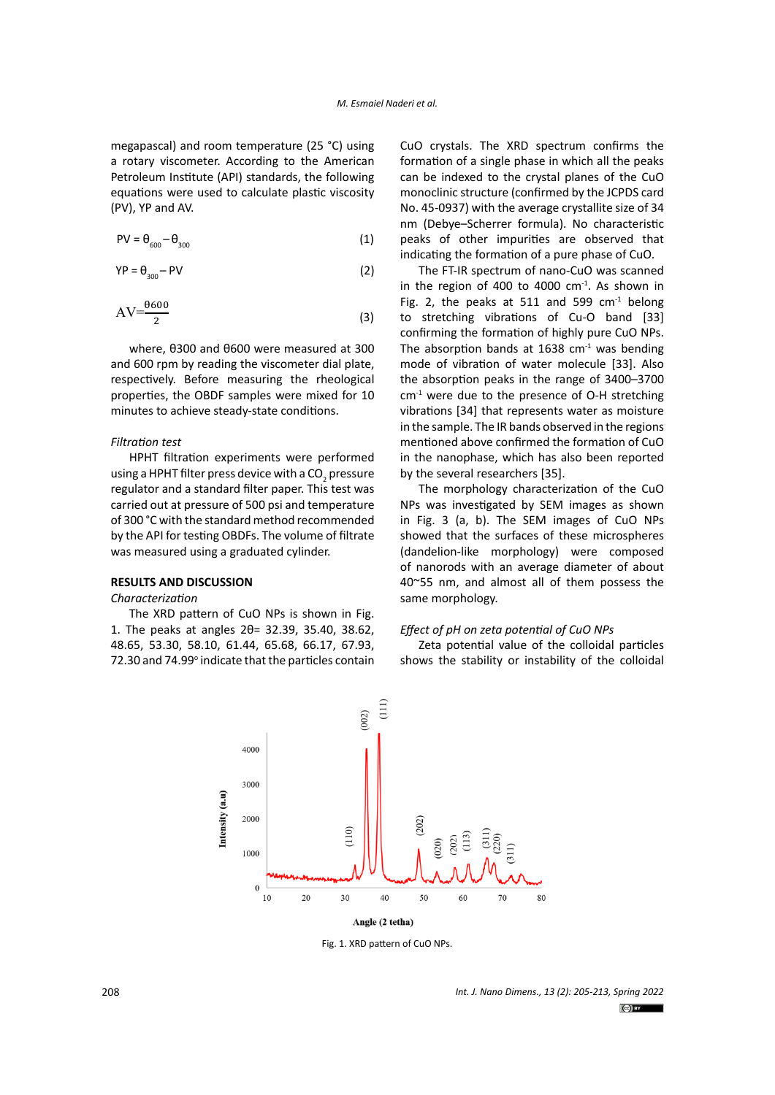megapascal) and room temperature (25 °C) using a rotary viscometer. According to the American Petroleum Institute (API) standards, the following equations were used to calculate plastic viscosity (PV), YP and AV.

$$
PV = \theta_{600} - \theta_{300} \tag{1}
$$

$$
YP = \theta_{300} - PV \tag{2}
$$

$$
AV = \frac{\theta 600}{2} \tag{3}
$$

respectively. Before measuring the rheological the absorption peaks in the range of 3400–3700 where, θ300 and θ600 were measured at 300 and 600 rpm by reading the viscometer dial plate, properties, the OBDF samples were mixed for 10 minutes to achieve steady-state conditions.

## *Filtration test*

130 minutes to achieve steady-state conditions. HPHT filtration experiments were performed 132 **2.7. Filtration test** of 300 °C with the standard method recommended using a HPHT filter press device with a CO<sub>2</sub> pressure regulator and a standard filter paper. This test was carried out at pressure of 500 psi and temperature by the API for testing OBDFs. The volume of filtrate was measured using a graduated cylinder.

## **RESULTS AND DISCUSSION**

*Characterization*

The XRD pattern of CuO NPs is shown in Fig. 48.65, 53.30, 58.10, 61.44, 65.68, 66.17, 67.93, 1. The peaks at angles 2θ= 32.39, 35.40, 38.62, 72.30 and 74.99° indicate that the particles contain

megapascal) and room temperature (25 °C) using CuO crystals. The XRD spectrum confirms the  $PV = \theta_{600} - \theta_{300}$  (1) peaks of other impurities are observed that formation of a single phase in which all the peaks can be indexed to the crystal planes of the CuO monoclinic structure (confirmed by the JCPDS card No. 45-0937) with the average crystallite size of 34 nm (Debye–Scherrer formula). No characteristic indicating the formation of a pure phase of CuO.

 $YP = \theta_{300} - PV$  (2) The FT-IR spectrum of nano-CuO was scanned minutes to achieve steady-state conditions. The vibrations [34] that represents water as moisture mixed for 10  $\sigma$ in the region of 400 to 4000  $cm<sup>-1</sup>$ . As shown in Fig. 2, the peaks at 511 and 599  $cm<sup>-1</sup>$  belong to stretching vibrations of Cu-O band [33] confirming the formation of highly pure CuO NPs. The absorption bands at  $1638 \text{ cm}^{-1}$  was bending mode of vibration of water molecule [33]. Also the absorption peaks in the range of 3400–3700  $cm<sup>-1</sup>$  were due to the presence of O-H stretching in the sample. The IR bands observed in the regions mentioned above confirmed the formation of CuO in the nanophase, which has also been reported by the several researchers [35].

<sup>1</sup><br>was measured using a graduated cylinder. (dandelion-like morphology) were composed RESULTS AND DISCUSSION **1340~55 nm**, and almost all of them possess the The morphology characterization of the CuO NPs was investigated by SEM images as shown in Fig. 3 (a, b). The SEM images of CuO NPs showed that the surfaces of these microspheres of nanorods with an average diameter of about same morphology.

#### *Effect of pH on zeta potential of CuO NPs*

Zeta potential value of the colloidal particles shows the stability or instability of the colloidal



Fig. 1. XRD pattern of CuO NPs.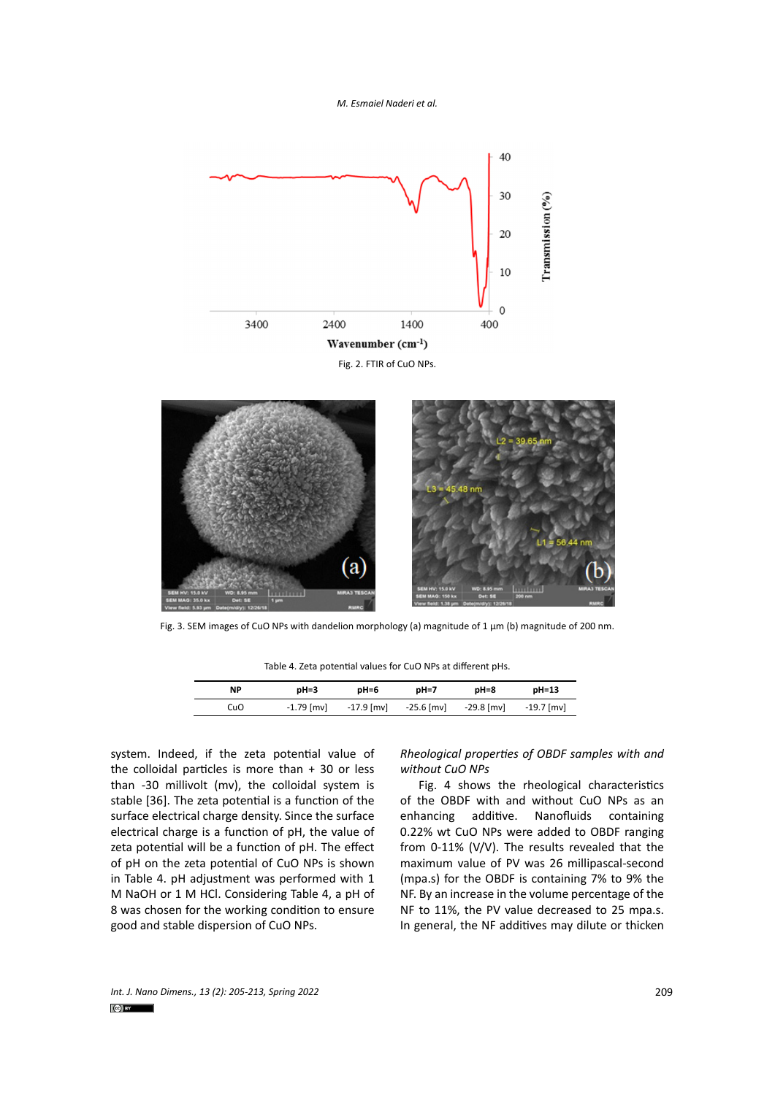*M. Esmaiel Naderi et al.*





Fig. 3. SEM images of CuO NPs with dandelion morphology (a) magnitude of 1 µm (b) magnitude of 200 nm.

| <b>NP</b> | $pH = 3$     | pH=6       | pH=7         | pH=8       | $pH=13$    |
|-----------|--------------|------------|--------------|------------|------------|
| CuO       | $-1.79$ [mv] | -17.9 [mv] | $-25.6$ [mv] | -29.8 [mv] | -19.7 [mv] |

system. Indeed, if the zeta potential value of the colloidal particles is more than + 30 or less than -30 millivolt (mv), the colloidal system is stable [36]. The zeta potential is a function of the surface electrical charge density. Since the surface electrical charge is a function of pH, the value of zeta potential will be a function of pH. The effect of pH on the zeta potential of CuO NPs is shown in Table 4. pH adjustment was performed with 1 M NaOH or 1 M HCl. Considering Table 4, a pH of 8 was chosen for the working condition to ensure good and stable dispersion of CuO NPs.

*Rheological properties of OBDF samples with and without CuO NPs*

Fig. 4 shows the rheological characteristics of the OBDF with and without CuO NPs as an enhancing additive. Nanofluids containing 0.22% wt CuO NPs were added to OBDF ranging from 0-11% (V/V). The results revealed that the maximum value of PV was 26 millipascal-second (mpa.s) for the OBDF is containing 7% to 9% the NF. By an increase in the volume percentage of the NF to 11%, the PV value decreased to 25 mpa.s. In general, the NF additives may dilute or thicken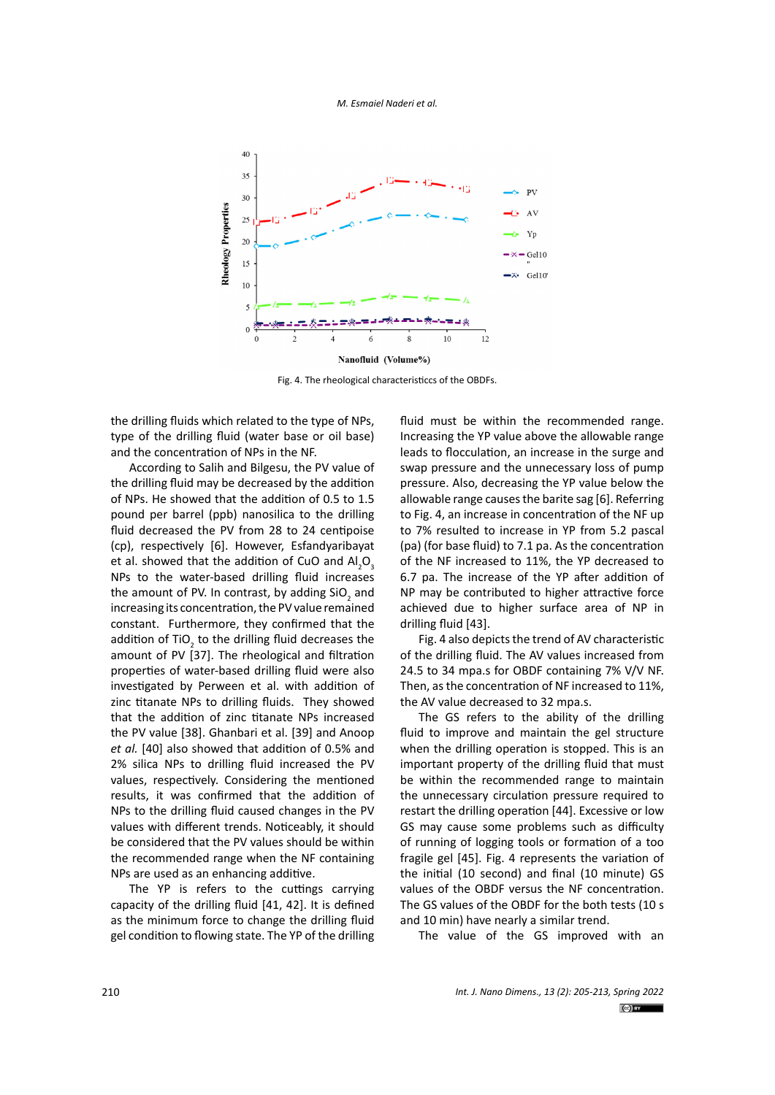

Fig. 4. The rheological characteristiccs of the OBDFs.

the drilling fluids which related to the type of NPs, type of the drilling fluid (water base or oil base) and the concentration of NPs in the NF.

According to Salih and Bilgesu, the PV value of the drilling fluid may be decreased by the addition of NPs. He showed that the addition of 0.5 to 1.5 pound per barrel (ppb) nanosilica to the drilling fluid decreased the PV from 28 to 24 centipoise (cp), respectively [6]. However, Esfandyaribayat et al. showed that the addition of CuO and  $\mathsf{Al}_2\mathsf{O}_3$ NPs to the water-based drilling fluid increases the amount of PV. In contrast, by adding  $\text{SiO}_2^{\text{}}$  and increasing its concentration, the PV value remained constant. Furthermore, they confirmed that the addition of TiO<sub>2</sub> to the drilling fluid decreases the amount of PV [37]. The rheological and filtration properties of water-based drilling fluid were also investigated by Perween et al. with addition of zinc titanate NPs to drilling fluids. They showed that the addition of zinc titanate NPs increased the PV value [38]. Ghanbari et al. [39] and Anoop *et al.* [40] also showed that addition of 0.5% and 2% silica NPs to drilling fluid increased the PV values, respectively. Considering the mentioned results, it was confirmed that the addition of NPs to the drilling fluid caused changes in the PV values with different trends. Noticeably, it should be considered that the PV values should be within the recommended range when the NF containing NPs are used as an enhancing additive.

The YP is refers to the cuttings carrying capacity of the drilling fluid [41, 42]. It is defined as the minimum force to change the drilling fluid gel condition to flowing state. The YP of the drilling fluid must be within the recommended range. Increasing the YP value above the allowable range leads to flocculation, an increase in the surge and swap pressure and the unnecessary loss of pump pressure. Also, decreasing the YP value below the allowable range causes the barite sag [6]. Referring to Fig. 4, an increase in concentration of the NF up to 7% resulted to increase in YP from 5.2 pascal (pa) (for base fluid) to 7.1 pa. As the concentration of the NF increased to 11%, the YP decreased to 6.7 pa. The increase of the YP after addition of NP may be contributed to higher attractive force achieved due to higher surface area of NP in drilling fluid [43].

Fig. 4 also depicts the trend of AV characteristic of the drilling fluid. The AV values increased from 24.5 to 34 mpa.s for OBDF containing 7% V/V NF. Then, as the concentration of NF increased to 11%, the AV value decreased to 32 mpa.s.

The GS refers to the ability of the drilling fluid to improve and maintain the gel structure when the drilling operation is stopped. This is an important property of the drilling fluid that must be within the recommended range to maintain the unnecessary circulation pressure required to restart the drilling operation [44]. Excessive or low GS may cause some problems such as difficulty of running of logging tools or formation of a too fragile gel [45]. Fig. 4 represents the variation of the initial (10 second) and final (10 minute) GS values of the OBDF versus the NF concentration. The GS values of the OBDF for the both tests (10 s and 10 min) have nearly a similar trend.

The value of the GS improved with an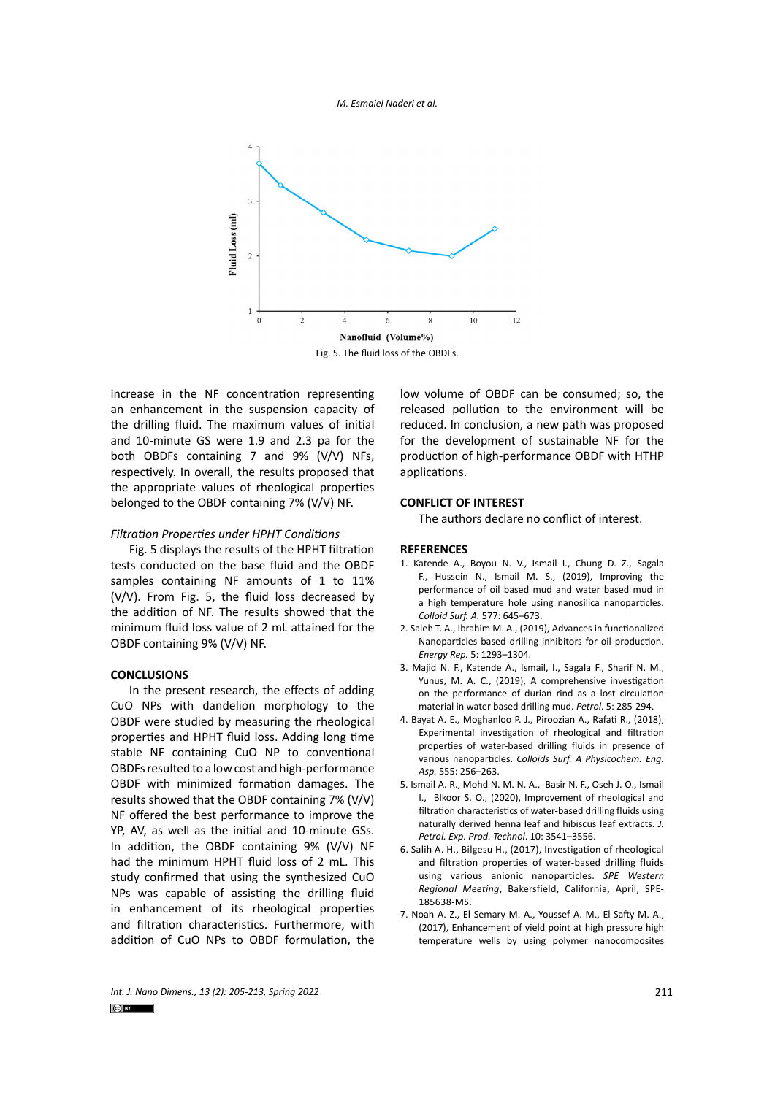*M. Esmaiel Naderi et al.*



increase in the NF concentration representing an enhancement in the suspension capacity of the drilling fluid. The maximum values of initial and 10-minute GS were 1.9 and 2.3 pa for the both OBDFs containing 7 and 9% (V/V) NFs, respectively. In overall, the results proposed that the appropriate values of rheological properties belonged to the OBDF containing 7% (V/V) NF.

## *Filtration Properties under HPHT Conditions*

Fig. 5 displays the results of the HPHT filtration tests conducted on the base fluid and the OBDF samples containing NF amounts of 1 to 11% (V/V). From Fig. 5, the fluid loss decreased by the addition of NF. The results showed that the minimum fluid loss value of 2 mL attained for the OBDF containing 9% (V/V) NF.

#### **CONCLUSIONS**

In the present research, the effects of adding CuO NPs with dandelion morphology to the OBDF were studied by measuring the rheological properties and HPHT fluid loss. Adding long time stable NF containing CuO NP to conventional OBDFs resulted to a low cost and high-performance OBDF with minimized formation damages. The results showed that the OBDF containing 7% (V/V) NF offered the best performance to improve the YP, AV, as well as the initial and 10-minute GSs. In addition, the OBDF containing 9% (V/V) NF had the minimum HPHT fluid loss of 2 mL. This study confirmed that using the synthesized CuO NPs was capable of assisting the drilling fluid in enhancement of its rheological properties and filtration characteristics. Furthermore, with addition of CuO NPs to OBDF formulation, the

low volume of OBDF can be consumed; so, the released pollution to the environment will be reduced. In conclusion, a new path was proposed for the development of sustainable NF for the production of high-performance OBDF with HTHP applications.

#### **CONFLICT OF INTEREST**

The authors declare no conflict of interest.

## **REFERENCES**

- 1. Katende A., Boyou N. V., Ismail I., Chung D. Z., Sagala F., Hussein N., Ismail M. S., (2019), Improving the performance of oil based mud and water based mud in a high temperature hole using nanosilica nanoparticles. *Colloid Surf. A.* 577: 645–673.
- 2. Saleh T. A., Ibrahim M. A., (2019), Advances in functionalized Nanoparticles based drilling inhibitors for oil production. *Energy Rep.* 5: 1293–1304.
- 3. Majid N. F., Katende A., Ismail, I., Sagala F., Sharif N. M., Yunus, M. A. C., (2019), A comprehensive investigation on the performance of durian rind as a lost circulation material in water based drilling mud. *Petrol*. 5: 285-294.
- 4. Bayat A. E., Moghanloo P. J., Piroozian A., Rafati R., (2018), Experimental investigation of rheological and filtration properties of water-based drilling fluids in presence of various nanoparticles. *Colloids Surf. A Physicochem. Eng. Asp.* 555: 256–263.
- 5. Ismail A. R., Mohd N. M. N. A., Basir N. F., Oseh J. O., Ismail I., Blkoor S. O., (2020), Improvement of rheological and filtration characteristics of water-based drilling fluids using naturally derived henna leaf and hibiscus leaf extracts. *J. Petrol. Exp. Prod. Technol*. 10: 3541–3556.
- 6. Salih A. H., Bilgesu H., (2017), Investigation of rheological and filtration properties of water-based drilling fluids using various anionic nanoparticles. *SPE Western Regional Meeting*, Bakersfield, California, April, SPE-185638-MS.
- 7. Noah A. Z., El Semary M. A., Youssef A. M., El-Safty M. A., (2017), Enhancement of yield point at high pressure high temperature wells by using polymer nanocomposites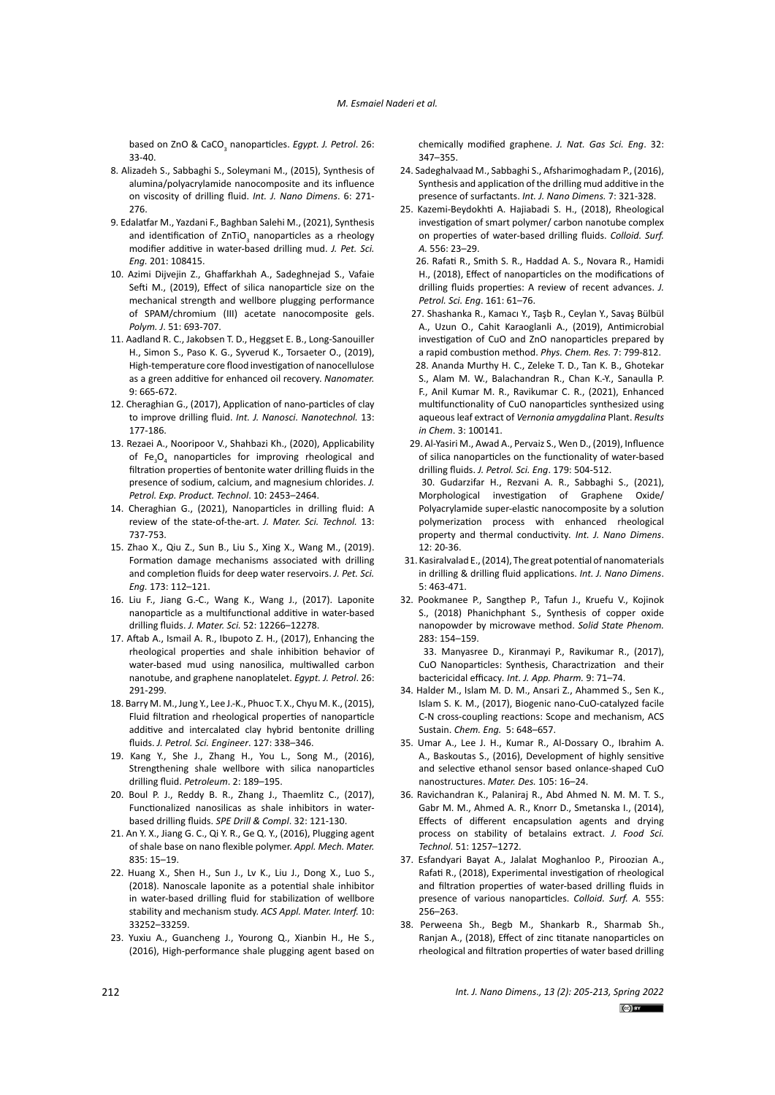based on ZnO & CaCO<sub>3</sub> nanoparticles. *Egypt. J. Petrol*. 26: 33-40.

- 8. Alizadeh S., Sabbaghi S., Soleymani M., (2015), Synthesis of alumina/polyacrylamide nanocomposite and its influence on viscosity of drilling fluid. *Int. J. Nano Dimens*. 6: 271- 276.
- 9. Edalatfar M., Yazdani F., Baghban Salehi M., (2021), Synthesis and identification of ZnTiO<sub>3</sub> nanoparticles as a rheology modifier additive in water-based drilling mud. *J. Pet. Sci. Eng.* 201: 108415.
- 10. Azimi Dijvejin Z., Ghaffarkhah A., Sadeghnejad S., Vafaie Sefti M., (2019), Effect of silica nanoparticle size on the mechanical strength and wellbore plugging performance of SPAM/chromium (III) acetate nanocomposite gels. *Polym. J*. 51: 693-707.
- 11. Aadland R. C., Jakobsen T. D., Heggset E. B., Long-Sanouiller H., Simon S., Paso K. G., Syverud K., Torsaeter O., (2019), High-temperature core flood investigation of nanocellulose as a green additive for enhanced oil recovery. *Nanomater.* 9: 665-672.
- 12. Cheraghian G., (2017), Application of nano-particles of clay to improve drilling fluid. *Int. J. Nanosci. Nanotechnol.* 13: 177-186.
- 13. Rezaei A., Nooripoor V., Shahbazi Kh., (2020), Applicability of Fe<sub>3</sub>O<sub>4</sub> nanoparticles for improving rheological and filtration properties of bentonite water drilling fluids in the presence of sodium, calcium, and magnesium chlorides. *J. Petrol. Exp. Product. Technol*. 10: 2453–2464.
- 14. Cheraghian G., (2021), Nanoparticles in drilling fluid: A review of the state-of-the-art. *J. Mater. Sci. Technol.* 13: 737-753.
- 15. Zhao X., Qiu Z., Sun B., Liu S., Xing X., Wang M., (2019). Formation damage mechanisms associated with drilling and completion fluids for deep water reservoirs. *J. Pet. Sci. Eng.* 173: 112–121.
- 16. Liu F., Jiang G.-C., Wang K., Wang J., (2017). Laponite nanoparticle as a multifunctional additive in water-based drilling fluids. *J. Mater. Sci.* 52: 12266–12278.
- 17. Aftab A., Ismail A. R., Ibupoto Z. H., (2017), Enhancing the rheological properties and shale inhibition behavior of water-based mud using nanosilica, multiwalled carbon nanotube, and graphene nanoplatelet. *Egypt. J. Petrol*. 26: 291-299.
- 18. Barry M. M., Jung Y., Lee J.-K., Phuoc T. X., Chyu M. K., (2015), Fluid filtration and rheological properties of nanoparticle additive and intercalated clay hybrid bentonite drilling fluids. *J. Petrol. Sci. Engineer*. 127: 338–346.
- 19. Kang Y., She J., Zhang H., You L., Song M., (2016), Strengthening shale wellbore with silica nanoparticles drilling fluid. *Petroleum*. 2: 189–195.
- 20. Boul P. J., Reddy B. R., Zhang J., Thaemlitz C., (2017), Functionalized nanosilicas as shale inhibitors in waterbased drilling fluids. *SPE Drill & Compl*. 32: 121-130.
- 21. An Y. X., Jiang G. C., Qi Y. R., Ge Q. Y., (2016), Plugging agent of shale base on nano flexible polymer. *Appl. Mech. Mater.* 835: 15–19.
- 22. Huang X., Shen H., Sun J., Lv K., Liu J., Dong X., Luo S., (2018). Nanoscale laponite as a potential shale inhibitor in water-based drilling fluid for stabilization of wellbore stability and mechanism study. *ACS Appl. Mater. Interf.* 10: 33252–33259.
- 23. Yuxiu A., Guancheng J., Yourong Q., Xianbin H., He S., (2016), High-performance shale plugging agent based on

chemically modified graphene. *J. Nat. Gas Sci. Eng*. 32: 347–355.

- 24. Sadeghalvaad M., Sabbaghi S., Afsharimoghadam P., (2016), Synthesis and application of the drilling mud additive in the presence of surfactants. *Int. J. Nano Dimens.* 7: 321-328.
- 25. Kazemi-Beydokhti A. Hajiabadi S. H., (2018), Rheological investigation of smart polymer/ carbon nanotube complex on properties of water-based drilling fluids. *Colloid. Surf. A.* 556: 23–29.
	- 26. Rafati R., Smith S. R., Haddad A. S., Novara R., Hamidi H., (2018), Effect of nanoparticles on the modifications of drilling fluids properties: A review of recent advances. *J. Petrol. Sci. Eng*. 161: 61–76.
	- 27. Shashanka R., Kamacı Y., Taşb R., Ceylan Y., Savaş Bülbül A., Uzun O., Cahit Karaoglanli A., (2019), Antimicrobial investigation of CuO and ZnO nanoparticles prepared by a rapid combustion method. *Phys. Chem. Res.* 7: 799-812. 28. Ananda Murthy H. C., Zeleke T. D., Tan K. B., Ghotekar S., Alam M. W., Balachandran R., Chan K.-Y., Sanaulla P. F., Anil Kumar M. R., Ravikumar C. R., (2021), Enhanced multifunctionality of CuO nanoparticles synthesized using aqueous leaf extract of *Vernonia amygdalina* Plant. *Results in Chem*. 3: 100141.
	- 29. Al-Yasiri M., Awad A., Pervaiz S., Wen D., (2019), Influence of silica nanoparticles on the functionality of water-based drilling fluids. *J. Petrol. Sci. Eng*. 179: 504-512.

 30. Gudarzifar H., Rezvani A. R., Sabbaghi S., (2021), Morphological investigation of Graphene Oxide/ Polyacrylamide super-elastic nanocomposite by a solution polymerization process with enhanced rheological property and thermal conductivity*. Int. J. Nano Dimens*. 12: 20-36.

- 31. Kasiralvalad E., (2014), The great potential of nanomaterials in drilling & drilling fluid applications. *Int. J. Nano Dimens*. 5: 463-471.
- 32. Pookmanee P., Sangthep P., Tafun J., Kruefu V., Kojinok S., (2018) Phanichphant S., Synthesis of copper oxide nanopowder by microwave method. *Solid State Phenom.* 283: 154–159.

 33. Manyasree D., Kiranmayi P., Ravikumar R., (2017), CuO Nanoparticles: Synthesis, Charactrization and their bactericidal efficacy*. Int. J. App. Pharm.* 9: 71–74.

- 34. Halder M., Islam M. D. M., Ansari Z., Ahammed S., Sen K., Islam S. K. M., (2017), Biogenic nano-CuO-catalyzed facile C-N cross-coupling reactions: Scope and mechanism, ACS Sustain. *Chem. Eng.* 5: 648–657.
- 35. Umar A., Lee J. H., Kumar R., Al-Dossary O., Ibrahim A. A., Baskoutas S., (2016), Development of highly sensitive and selective ethanol sensor based onlance-shaped CuO nanostructures. *Mater. Des.* 105: 16–24.
- 36. Ravichandran K., Palaniraj R., Abd Ahmed N. M. M. T. S., Gabr M. M., Ahmed A. R., Knorr D., Smetanska I., (2014), Effects of different encapsulation agents and drying process on stability of betalains extract. *J. Food Sci. Technol.* 51: 1257–1272.
- 37. Esfandyari Bayat A., Jalalat Moghanloo P., Piroozian A., Rafati R., (2018), Experimental investigation of rheological and filtration properties of water-based drilling fluids in presence of various nanoparticles. *Colloid. Surf. A.* 555: 256–263.
- 38. Perweena Sh., Begb M., Shankarb R., Sharmab Sh., Ranjan A., (2018), Effect of zinc titanate nanoparticles on rheological and filtration properties of water based drilling